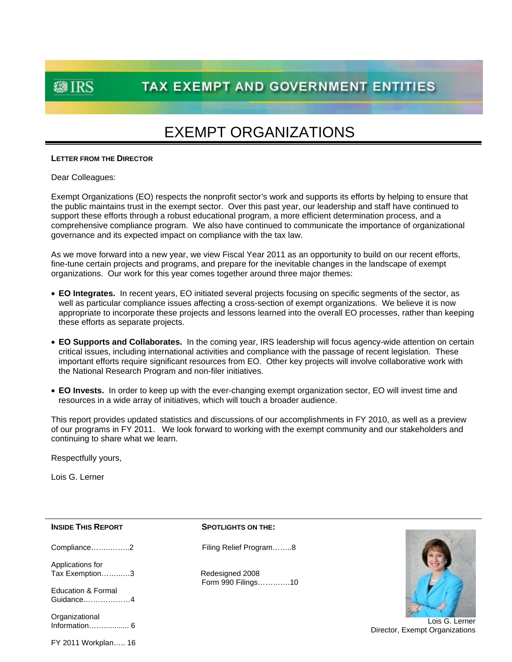**@IRS** 

### **TAX EXEMPT AND GOVERNMENT ENTITIES**

### EXEMPT ORGANIZATIONS

#### **LETTER FROM THE DIRECTOR**

Dear Colleagues:

Exempt Organizations (EO) respects the nonprofit sector's work and supports its efforts by helping to ensure that the public maintains trust in the exempt sector. Over this past year, our leadership and staff have continued to support these efforts through a robust educational program, a more efficient determination process, and a comprehensive compliance program. We also have continued to communicate the importance of organizational governance and its expected impact on compliance with the tax law.

As we move forward into a new year, we view Fiscal Year 2011 as an opportunity to build on our recent efforts, fine-tune certain projects and programs, and prepare for the inevitable changes in the landscape of exempt organizations. Our work for this year comes together around three major themes:

- **EO Integrates.** In recent years, EO initiated several projects focusing on specific segments of the sector, as well as particular compliance issues affecting a cross-section of exempt organizations. We believe it is now appropriate to incorporate these projects and lessons learned into the overall EO processes, rather than keeping these efforts as separate projects.
- **EO Supports and Collaborates.** In the coming year, IRS leadership will focus agency-wide attention on certain critical issues, including international activities and compliance with the passage of recent legislation. These important efforts require significant resources from EO. Other key projects will involve collaborative work with the National Research Program and non-filer initiatives.
- **EO Invests.** In order to keep up with the ever-changing exempt organization sector, EO will invest time and resources in a wide array of initiatives, which will touch a broader audience.

This report provides updated statistics and discussions of our accomplishments in FY 2010, as well as a preview of our programs in FY 2011. We look forward to working with the exempt community and our stakeholders and continuing to share what we learn.

Respectfully yours,

Lois G. Lerner

Applications for Tax Exemption…………3 Redesigned 2008

Education & Formal Guidance.………………4

**Organizational** Information……............ 6

#### **INSIDE THIS REPORT SPOTLIGHTS ON THE:**

Compliance……..……..2 Filing Relief Program……..8

Form 990 Filings………….10



Lois G. Lerner Director, Exempt Organizations

FY 2011 Workplan….. 16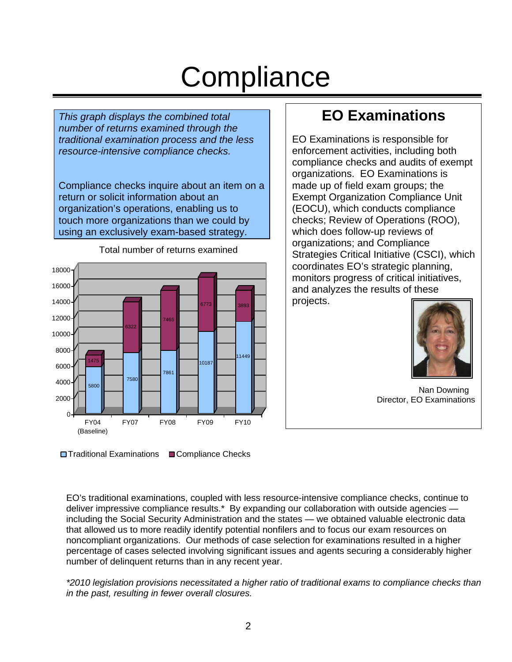# **Compliance**

*This graph displays the combined total number of returns examined through the traditional examination process and the less resource-intensive compliance checks.* 

Compliance checks inquire about an item on a return or solicit information about an organization's operations, enabling us to touch more organizations than we could by using an exclusively exam-based strategy.



Total number of returns examined

### **EO Examinations**

EO Examinations is responsible for enforcement activities, including both compliance checks and audits of exempt organizations. EO Examinations is made up of field exam groups; the Exempt Organization Compliance Unit (EOCU), which conducts compliance checks; Review of Operations (ROO), which does follow-up reviews of organizations; and Compliance Strategies Critical Initiative (CSCI), which coordinates EO's strategic planning, monitors progress of critical initiatives, and analyzes the results of these projects.



Nan Downing Director, EO Examinations

**□ Traditional Examinations** ■ Compliance Checks

 noncompliant organizations. Our methods of case selection for examinations resulted in a higher EO's traditional examinations, coupled with less resource-intensive compliance checks, continue to deliver impressive compliance results.\* By expanding our collaboration with outside agencies including the Social Security Administration and the states — we obtained valuable electronic data that allowed us to more readily identify potential nonfilers and to focus our exam resources on percentage of cases selected involving significant issues and agents securing a considerably higher number of delinquent returns than in any recent year.

*\*2010 legislation provisions necessitated a higher ratio of traditional exams to compliance checks than in the past, resulting in fewer overall closures.*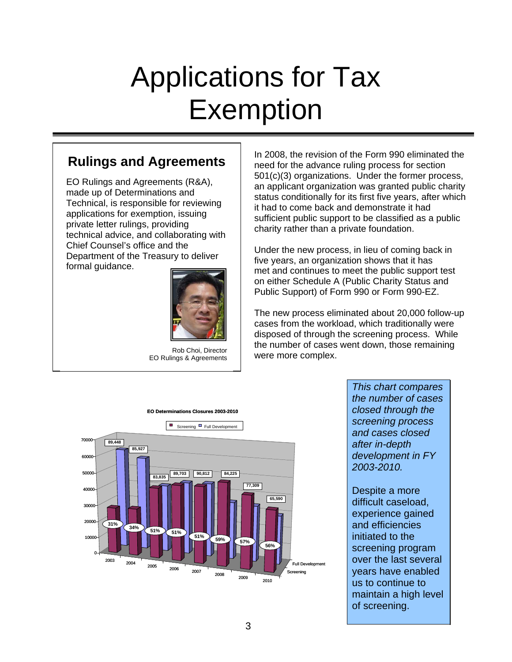# Applications for Tax Exemption

### **Rulings and Agreements**

EO Rulings and Agreements (R&A), made up of Determinations and Technical, is responsible for reviewing applications for exemption, issuing private letter rulings, providing technical advice, and collaborating with Chief Counsel's office and the Department of the Treasury to deliver formal guidance.



Rob Choi, Director EO Rulings & Agreements

In 2008, the revision of the Form 990 eliminated the need for the advance ruling process for section 501(c)(3) organizations. Under the former process, an applicant organization was granted public charity status conditionally for its first five years, after which it had to come back and demonstrate it had sufficient public support to be classified as a public charity rather than a private foundation.

Under the new process, in lieu of coming back in five years, an organization shows that it has met and continues to meet the public support test on either Schedule A (Public Charity Status and Public Support) of Form 990 or Form 990-EZ.

The new process eliminated about 20,000 follow-up cases from the workload, which traditionally were disposed of through the screening process. While the number of cases went down, those remaining were more complex.



*This chart compares the number of cases closed through the screening process and cases closed after in-depth development in FY 2003-2010.* 

Despite a more difficult caseload, experience gained and efficiencies initiated to the screening program over the last several years have enabled us to continue to maintain a high level of screening.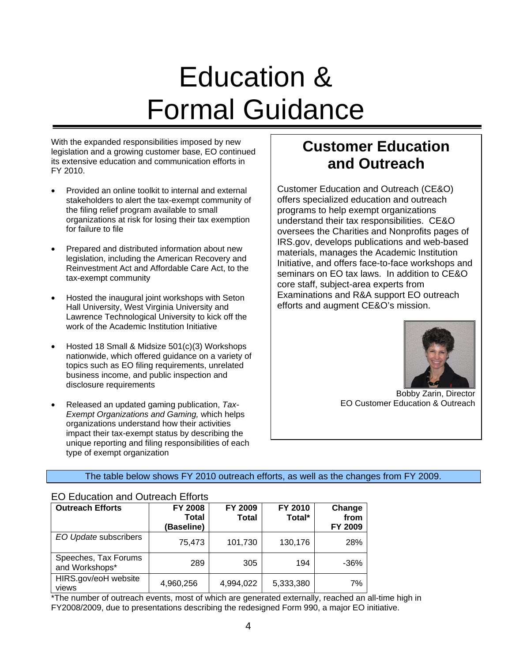# Education & Formal Guidance

With the expanded responsibilities imposed by new legislation and a growing customer base, EO continued its extensive education and communication efforts in FY 2010.

- Provided an online toolkit to internal and external stakeholders to alert the tax-exempt community of the filing relief program available to small organizations at risk for losing their tax exemption for failure to file
- Prepared and distributed information about new legislation, including the American Recovery and Reinvestment Act and Affordable Care Act, to the tax-exempt community
- Hosted the inaugural joint workshops with Seton Hall University, West Virginia University and Lawrence Technological University to kick off the work of the Academic Institution Initiative
- Hosted 18 Small & Midsize 501(c)(3) Workshops nationwide, which offered guidance on a variety of topics such as EO filing requirements, unrelated business income, and public inspection and disclosure requirements
- Released an updated gaming publication, *Tax-Exempt Organizations and Gaming,* which helps organizations understand how their activities impact their tax-exempt status by describing the unique reporting and filing responsibilities of each type of exempt organization

### **Customer Education and Outreach**

Customer Education and Outreach (CE&O) offers specialized education and outreach programs to help exempt organizations understand their tax responsibilities. CE&O oversees the Charities and Nonprofits pages of IRS.gov, develops publications and web-based materials, manages the Academic Institution Initiative, and offers face-to-face workshops and seminars on EO tax laws. In addition to CE&O core staff, subject-area experts from Examinations and R&A support EO outreach efforts and augment CE&O's mission.



Bobby Zarin, Director EO Customer Education & Outreach

#### The table below shows FY 2010 outreach efforts, as well as the changes from FY 2009.

#### EO Education and Outreach Efforts

| <b>Outreach Efforts</b>                | <b>FY 2008</b><br>Total<br>(Baseline) | FY 2009<br><b>Total</b> | FY 2010<br>Total* | Change<br>from<br>FY 2009 |
|----------------------------------------|---------------------------------------|-------------------------|-------------------|---------------------------|
| EO Update subscribers                  | 75,473                                | 101,730                 | 130,176           | 28%                       |
| Speeches, Tax Forums<br>and Workshops* | 289                                   | 305                     | 194               | $-36%$                    |
| HIRS.gov/eoH website<br>views          | 4,960,256                             | 4,994,022               | 5,333,380         | 7%                        |

\*The number of outreach events, most of which are generated externally, reached an all-time high in FY2008/2009, due to presentations describing the redesigned Form 990, a major EO initiative.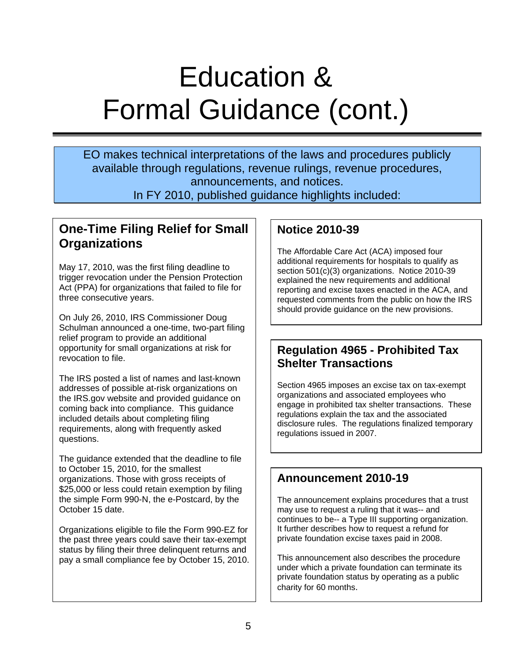# Education & Formal Guidance (cont.)

EO makes technical interpretations of the laws and procedures publicly available through regulations, revenue rulings, revenue procedures, announcements, and notices.

In FY 2010, published guidance highlights included:

### **Organizations One-Time Filing Relief for Small**

May 17, 2010, was the first filing deadline to trigger revocation under the Pension Protection Act (PPA) for organizations that failed to file for three consecutive years.

On July 26, 2010, IRS Commissioner Doug Schulman announced a one-time, two-part filing relief program to provide an additional opportunity for small organizations at risk for revocation to file.

The IRS posted a list of names and last-known addresses of possible at-risk organizations on the IRS.gov website and provided guidance on coming back into compliance. This guidance included details about completing filing requirements, along with frequently asked questions.

The guidance extended that the deadline to file to October 15, 2010, for the smallest organizations. Those with gross receipts of \$25,000 or less could retain exemption by filing the simple Form 990-N, the e-Postcard, by the October 15 date.

Organizations eligible to file the Form 990-EZ for the past three years could save their tax-exempt status by filing their three delinquent returns and pay a small compliance fee by October 15, 2010.

### **Notice 2010-39**

The Affordable Care Act (ACA) imposed four additional requirements for hospitals to qualify as section 501(c)(3) organizations. Notice 2010-39 explained the new requirements and additional reporting and excise taxes enacted in the ACA, and requested comments from the public on how the IRS should provide guidance on the new provisions.

### **Regulation 4965 - Prohibited Tax Shelter Transactions**

Section 4965 imposes an excise tax on tax-exempt organizations and associated employees who engage in prohibited tax shelter transactions. These regulations explain the tax and the associated disclosure rules. The regulations finalized temporary regulations issued in 2007.

### **Announcement 2010-19**

The announcement explains procedures that a trust may use to request a ruling that it was-- and continues to be-- a Type III supporting organization. It further describes how to request a refund for private foundation excise taxes paid in 2008.

This announcement also describes the procedure under which a private foundation can terminate its private foundation status by operating as a public charity for 60 months.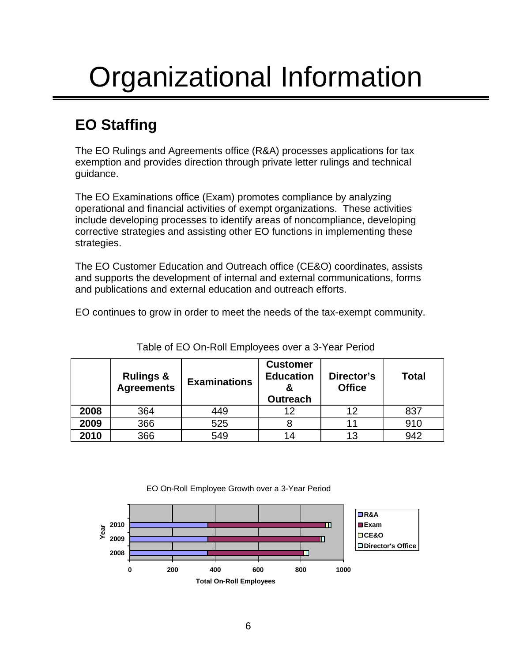# Organizational Information

### **EO Staffing**

The EO Rulings and Agreements office (R&A) processes applications for tax exemption and provides direction through private letter rulings and technical guidance.

The EO Examinations office (Exam) promotes compliance by analyzing operational and financial activities of exempt organizations. These activities include developing processes to identify areas of noncompliance, developing corrective strategies and assisting other EO functions in implementing these strategies.

The EO Customer Education and Outreach office (CE&O) coordinates, assists and supports the development of internal and external communications, forms and publications and external education and outreach efforts.

EO continues to grow in order to meet the needs of the tax-exempt community.

|      | <b>Rulings &amp;</b><br><b>Agreements</b> | <b>Examinations</b> | <b>Customer</b><br><b>Education</b><br><b>Outreach</b> | Director's<br><b>Office</b> | <b>Total</b> |
|------|-------------------------------------------|---------------------|--------------------------------------------------------|-----------------------------|--------------|
| 2008 | 364                                       | 449                 | 12                                                     | 12                          | 837          |
| 2009 | 366                                       | 525                 |                                                        | 11                          | 910          |
| 2010 | 366                                       | 549                 | 14                                                     | 13                          | 942          |

Table of EO On-Roll Employees over a 3-Year Period



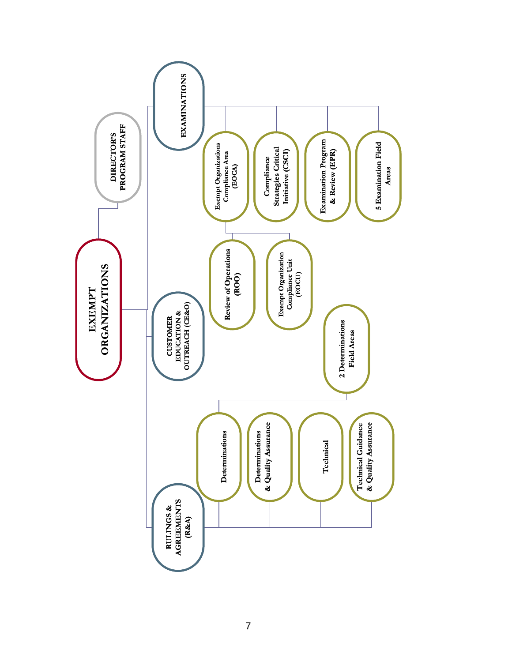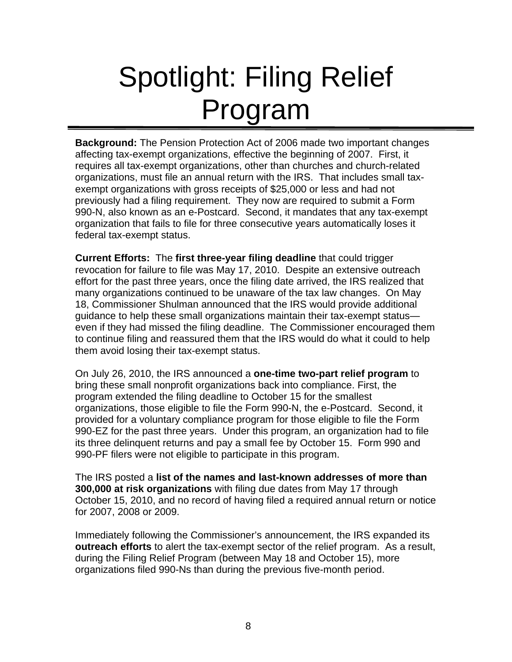# Spotlight: Filing Relief Program

**Background:** The Pension Protection Act of 2006 made two important changes affecting tax-exempt organizations, effective the beginning of 2007. First, it requires all tax-exempt organizations, other than churches and church-related organizations, must file an annual return with the IRS. That includes small taxexempt organizations with gross receipts of \$25,000 or less and had not previously had a filing requirement. They now are required to submit a Form 990-N, also known as an e-Postcard. Second, it mandates that any tax-exempt organization that fails to file for three consecutive years automatically loses it federal tax-exempt status.

**Current Efforts:** The **first three-year filing deadline** that could trigger revocation for failure to file was May 17, 2010. Despite an extensive outreach effort for the past three years, once the filing date arrived, the IRS realized that many organizations continued to be unaware of the tax law changes. On May 18, Commissioner Shulman announced that the IRS would provide additional guidance to help these small organizations maintain their tax-exempt status even if they had missed the filing deadline. The Commissioner encouraged them to continue filing and reassured them that the IRS would do what it could to help them avoid losing their tax-exempt status.

On July 26, 2010, the IRS announced a **one-time two-part relief program** to bring these small nonprofit organizations back into compliance. First, the program extended the filing deadline to October 15 for the smallest organizations, those eligible to file the Form 990-N, the e-Postcard. Second, it provided for a voluntary compliance program for those eligible to file the Form 990-EZ for the past three years. Under this program, an organization had to file its three delinquent returns and pay a small fee by October 15. Form 990 and 990-PF filers were not eligible to participate in this program.

The IRS posted a **list of the names and last-known addresses of more than 300,000 at risk organizations** with filing due dates from May 17 through October 15, 2010, and no record of having filed a required annual return or notice for 2007, 2008 or 2009.

Immediately following the Commissioner's announcement, the IRS expanded its **outreach efforts** to alert the tax-exempt sector of the relief program. As a result, during the Filing Relief Program (between May 18 and October 15), more organizations filed 990-Ns than during the previous five-month period.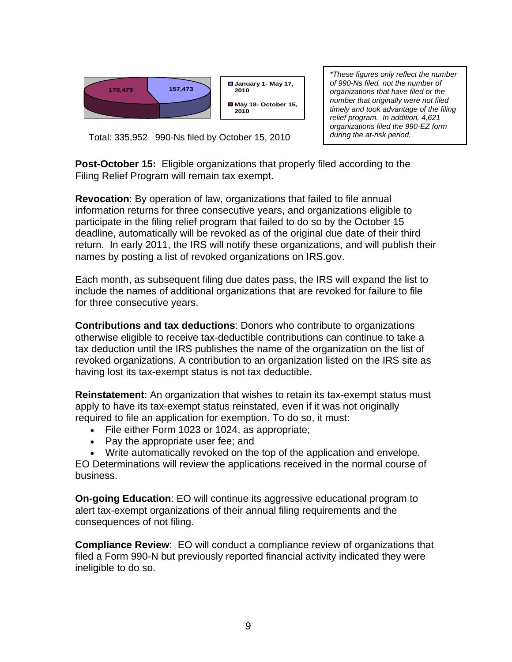

*\*These figures only reflect the number of 990-Ns filed, not the number of organizations that have filed or the number that originally were not filed timely and took advantage of the filing relief program. In addition, 4,621 organizations filed the 990-EZ form during the at-risk period.* 

Total: 335,952 990-Ns filed by October 15, 2010

**Post-October 15:** Eligible organizations that properly filed according to the Filing Relief Program will remain tax exempt.

**Revocation**: By operation of law, organizations that failed to file annual information returns for three consecutive years, and organizations eligible to participate in the filing relief program that failed to do so by the October 15 deadline, automatically will be revoked as of the original due date of their third return. In early 2011, the IRS will notify these organizations, and will publish their names by posting a list of revoked organizations on IRS.gov.

Each month, as subsequent filing due dates pass, the IRS will expand the list to include the names of additional organizations that are revoked for failure to file for three consecutive years.

**Contributions and tax deductions**: Donors who contribute to organizations otherwise eligible to receive tax-deductible contributions can continue to take a tax deduction until the IRS publishes the name of the organization on the list of revoked organizations. A contribution to an organization listed on the IRS site as having lost its tax-exempt status is not tax deductible.

**Reinstatement**: An organization that wishes to retain its tax-exempt status must apply to have its tax-exempt status reinstated, even if it was not originally required to file an application for exemption. To do so, it must:

- File either Form 1023 or 1024, as appropriate;
- Pay the appropriate user fee; and
- Write automatically revoked on the top of the application and envelope.

EO Determinations will review the applications received in the normal course of business.

**On-going Education**: EO will continue its aggressive educational program to alert tax-exempt organizations of their annual filing requirements and the consequences of not filing.

**Compliance Review**: EO will conduct a compliance review of organizations that filed a Form 990-N but previously reported financial activity indicated they were ineligible to do so.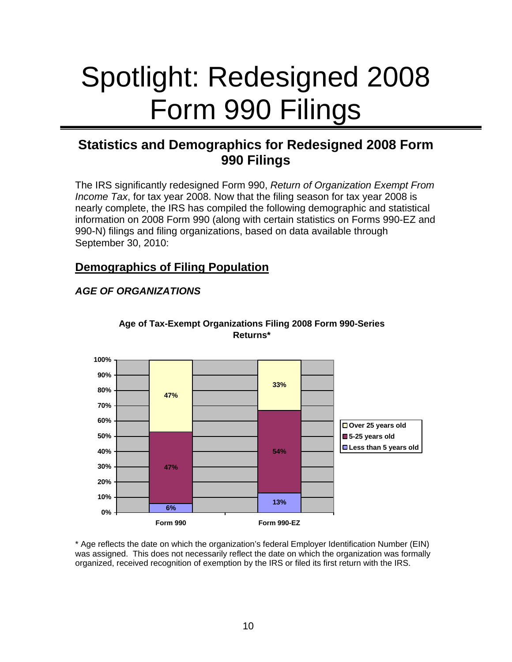# Spotlight: Redesigned 2008 Form 990 Filings

### **Statistics and Demographics for Redesigned 2008 Form 990 Filings**

The IRS significantly redesigned Form 990, *Return of Organization Exempt From Income Tax*, for tax year 2008. Now that the filing season for tax year 2008 is nearly complete, the IRS has compiled the following demographic and statistical information on 2008 Form 990 (along with certain statistics on Forms 990-EZ and 990-N) filings and filing organizations, based on data available through September 30, 2010:

### **Demographics of Filing Population**

### *AGE OF ORGANIZATIONS*



#### **Age of Tax-Exempt Organizations Filing 2008 Form 990-Series Returns\***

\* Age reflects the date on which the organization's federal Employer Identification Number (EIN) was assigned. This does not necessarily reflect the date on which the organization was formally organized, received recognition of exemption by the IRS or filed its first return with the IRS.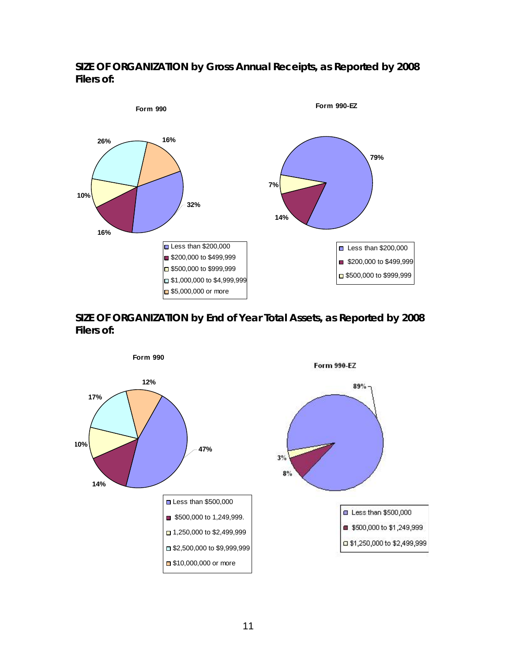### *SIZE OF ORGANIZATION* **by Gross Annual Receipts, as Reported by 2008 Filers of:**





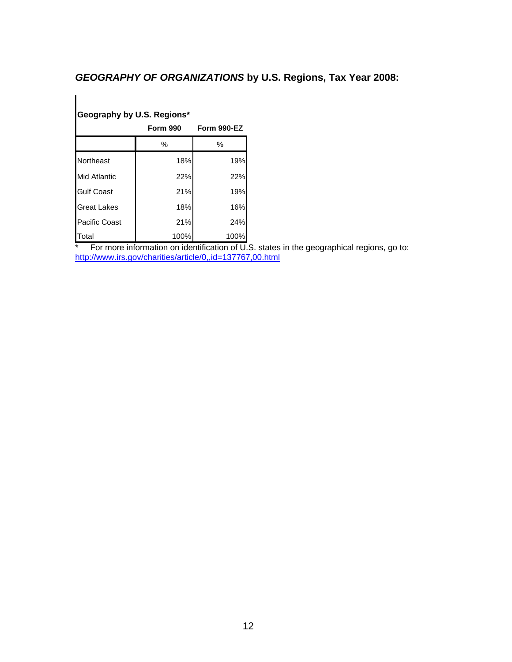### *GEOGRAPHY OF ORGANIZATIONS* **by U.S. Regions, Tax Year 2008:**

### **Geography by U.S. Regions\***

|                      | <b>Form 990</b> | Form 990-EZ |  |
|----------------------|-----------------|-------------|--|
|                      | $\%$            | %           |  |
| Northeast            | 18%             | 19%         |  |
| <b>Mid Atlantic</b>  | 22%             | 22%         |  |
| <b>Gulf Coast</b>    | 21%             | 19%         |  |
| <b>Great Lakes</b>   | 18%             | 16%         |  |
| <b>Pacific Coast</b> | 21%             | 24%         |  |
| Total                | 100%            | 100%        |  |

\* For more information on identification of U.S. states in the geographical regions, go to: <http://www.irs.gov/charities/article/0,,id=137767,00.html>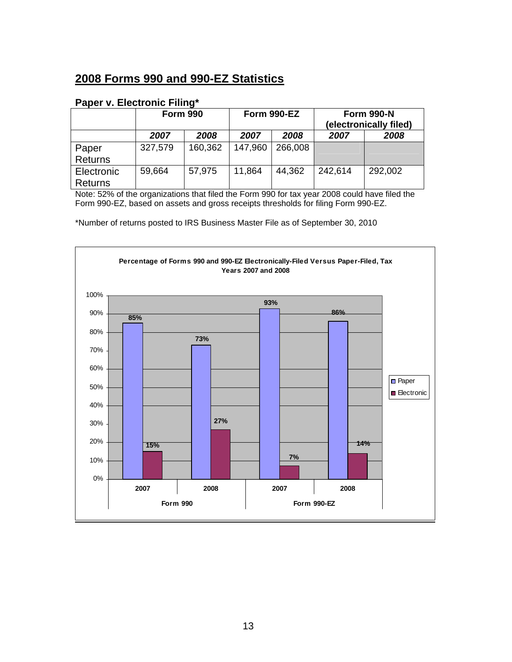### **2008 Forms 990 and 990-EZ Statistics**

#### **Paper v. Electronic Filing\***

|                | <b>Form 990</b> | Form 990-EZ |              | <b>Form 990-N</b><br>(electronically filed) |         |         |
|----------------|-----------------|-------------|--------------|---------------------------------------------|---------|---------|
|                | 2007            | 2008        | 2008<br>2007 |                                             | 2007    | 2008    |
| Paper          | 327,579         | 160,362     | 147,960      | 266,008                                     |         |         |
| <b>Returns</b> |                 |             |              |                                             |         |         |
| Electronic     | 59,664          | 57,975      | 11,864       | 44,362                                      | 242,614 | 292,002 |
| <b>Returns</b> |                 |             |              |                                             |         |         |

Note: 52% of the organizations that filed the Form 990 for tax year 2008 could have filed the Form 990-EZ, based on assets and gross receipts thresholds for filing Form 990-EZ.

\*Number of returns posted to IRS Business Master File as of September 30, 2010

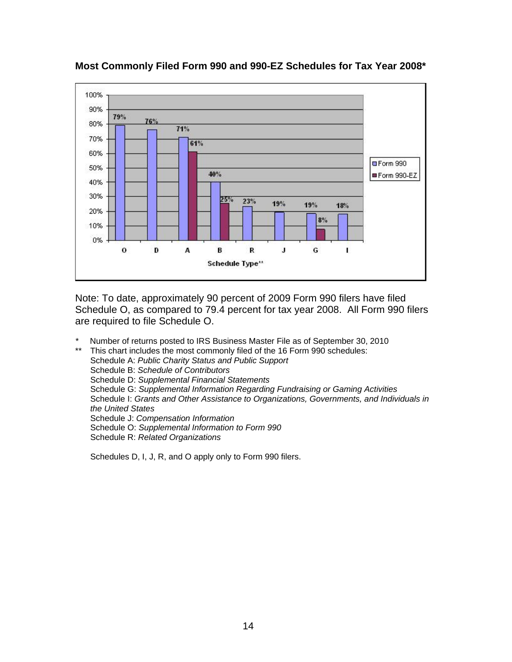

**Most Commonly Filed Form 990 and 990-EZ Schedules for Tax Year 2008\*** 

Note: To date, approximately 90 percent of 2009 Form 990 filers have filed Schedule O, as compared to 79.4 percent for tax year 2008. All Form 990 filers are required to file Schedule O.

*\** Number of returns posted to IRS Business Master File as of September 30, 2010

This chart includes the most commonly filed of the 16 Form 990 schedules: Schedule A: *Public Charity Status and Public Support* Schedule B: *Schedule of Contributors*  Schedule D: *Supplemental Financial Statements*  Schedule G: *Supplemental Information Regarding Fundraising or Gaming Activities*  Schedule I: *Grants and Other Assistance to Organizations, Governments, and Individuals in the United States*  Schedule J: *Compensation Information*  Schedule O: *Supplemental Information to Form 990*  Schedule R: *Related Organizations*

Schedules D, I, J, R, and O apply only to Form 990 filers.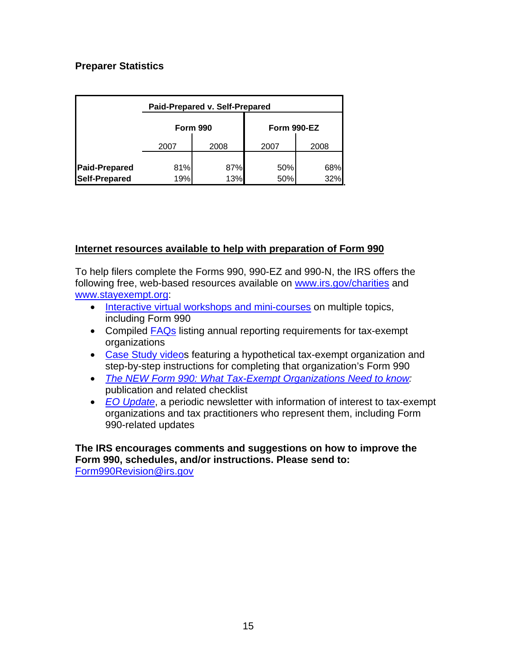### **Preparer Statistics**

| Paid-Prepared v. Self-Prepared               |              |                 |             |            |  |
|----------------------------------------------|--------------|-----------------|-------------|------------|--|
|                                              |              | <b>Form 990</b> | Form 990-EZ |            |  |
|                                              | 2008<br>2007 |                 | 2007        | 2008       |  |
| <b>Paid-Prepared</b><br><b>Self-Prepared</b> | 81%<br>19%   | 87%<br>13%      | 50%<br>50%  | 68%<br>32% |  |

### **Internet resources available to help with preparation of Form 990**

To help filers complete the Forms 990, 990-EZ and 990-N, the IRS offers the following free, web-based resources available on [www.irs.gov/charities](http://www.irs.gov/charities) and [www.stayexempt.org](http://www.stayexempt.org/):

- [Interactive virtual workshops and mini-courses](http://www.stayexempt.org/) on multiple topics, including Form 990
- Compiled [FAQs](http://www.irs.gov/charities/article/0,,id=96581,00.html) listing annual reporting requirements for tax-exempt organizations
- [Case Study video](http://www.irs.gov/charities/article/0,,id=210357,00.html)s featuring a hypothetical tax-exempt organization and step-by-step instructions for completing that organization's Form 990
- *[The NEW Form 990: What Tax-Exempt Organizations Need to know:](http://www.irs.gov/pub/irs-pdf/p4741.pdf)* publication and related checklist
- *[EO Update](http://www.irs.gov/charities/article/0,,id=135307,00.html)*, a periodic newsletter with information of interest to tax-exempt organizations and tax practitioners who represent them, including Form 990-related updates

**The IRS encourages comments and suggestions on how to improve the Form 990, schedules, and/or instructions. Please send to:**  [Form990Revision@irs.gov](mailto:Form990Revision@irs.gov)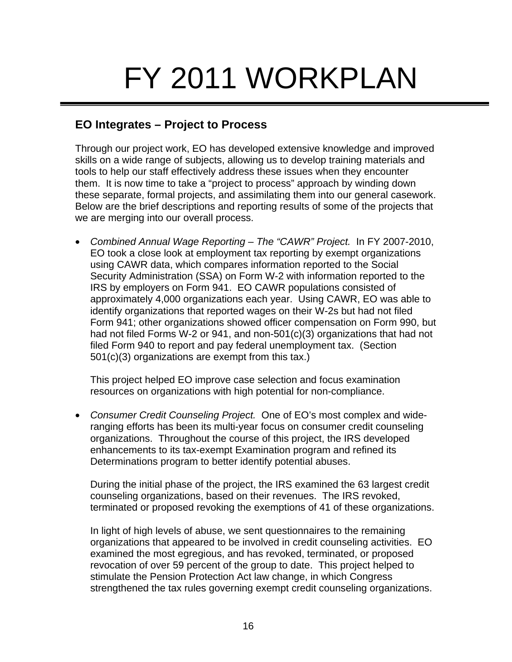# FY 2011 WORKPLAN

### **EO Integrates – Project to Process**

Through our project work, EO has developed extensive knowledge and improved skills on a wide range of subjects, allowing us to develop training materials and tools to help our staff effectively address these issues when they encounter them. It is now time to take a "project to process" approach by winding down these separate, formal projects, and assimilating them into our general casework. Below are the brief descriptions and reporting results of some of the projects that we are merging into our overall process.

• Combined Annual Wage Reporting – The "CAWR" Project. In FY 2007-2010, EO took a close look at employment tax reporting by exempt organizations using CAWR data, which compares information reported to the Social Security Administration (SSA) on Form W-2 with information reported to the IRS by employers on Form 941. EO CAWR populations consisted of approximately 4,000 organizations each year. Using CAWR, EO was able to identify organizations that reported wages on their W-2s but had not filed Form 941; other organizations showed officer compensation on Form 990, but had not filed Forms W-2 or 941, and non-501(c)(3) organizations that had not filed Form 940 to report and pay federal unemployment tax. (Section 501(c)(3) organizations are exempt from this tax.)

This project helped EO improve case selection and focus examination resources on organizations with high potential for non-compliance.

• *Consumer Credit Counseling Project.* One of EO's most complex and wideranging efforts has been its multi-year focus on consumer credit counseling organizations. Throughout the course of this project, the IRS developed enhancements to its tax-exempt Examination program and refined its Determinations program to better identify potential abuses.

During the initial phase of the project, the IRS examined the 63 largest credit counseling organizations, based on their revenues. The IRS revoked, terminated or proposed revoking the exemptions of 41 of these organizations.

In light of high levels of abuse, we sent questionnaires to the remaining organizations that appeared to be involved in credit counseling activities. EO examined the most egregious, and has revoked, terminated, or proposed revocation of over 59 percent of the group to date. This project helped to stimulate the Pension Protection Act law change, in which Congress strengthened the tax rules governing exempt credit counseling organizations.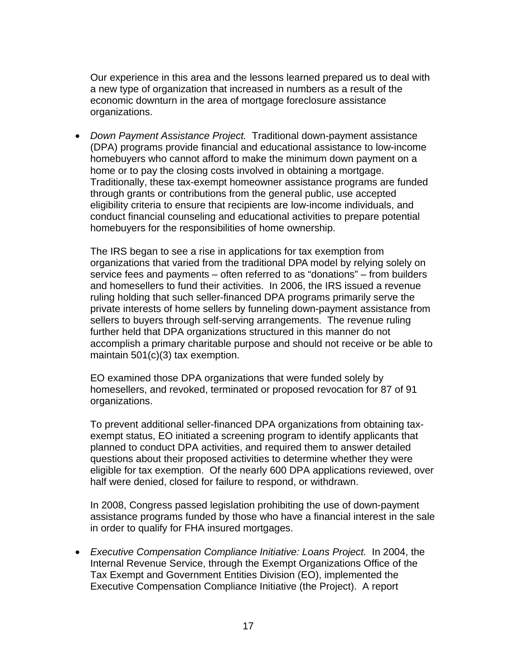Our experience in this area and the lessons learned prepared us to deal with a new type of organization that increased in numbers as a result of the economic downturn in the area of mortgage foreclosure assistance organizations.

• *Down Payment Assistance Project.* Traditional down-payment assistance (DPA) programs provide financial and educational assistance to low-income homebuyers who cannot afford to make the minimum down payment on a home or to pay the closing costs involved in obtaining a mortgage. Traditionally, these tax-exempt homeowner assistance programs are funded through grants or contributions from the general public, use accepted eligibility criteria to ensure that recipients are low-income individuals, and conduct financial counseling and educational activities to prepare potential homebuyers for the responsibilities of home ownership.

The IRS began to see a rise in applications for tax exemption from organizations that varied from the traditional DPA model by relying solely on service fees and payments – often referred to as "donations" – from builders and homesellers to fund their activities. In 2006, the IRS issued a revenue ruling holding that such seller-financed DPA programs primarily serve the private interests of home sellers by funneling down-payment assistance from sellers to buyers through self-serving arrangements. The revenue ruling further held that DPA organizations structured in this manner do not accomplish a primary charitable purpose and should not receive or be able to maintain 501(c)(3) tax exemption.

EO examined those DPA organizations that were funded solely by homesellers, and revoked, terminated or proposed revocation for 87 of 91 organizations.

To prevent additional seller-financed DPA organizations from obtaining taxexempt status, EO initiated a screening program to identify applicants that planned to conduct DPA activities, and required them to answer detailed questions about their proposed activities to determine whether they were eligible for tax exemption. Of the nearly 600 DPA applications reviewed, over half were denied, closed for failure to respond, or withdrawn.

In 2008, Congress passed legislation prohibiting the use of down-payment assistance programs funded by those who have a financial interest in the sale in order to qualify for FHA insured mortgages.

• *Executive Compensation Compliance Initiative: Loans Project.* In 2004, the Internal Revenue Service, through the Exempt Organizations Office of the Tax Exempt and Government Entities Division (EO), implemented the Executive Compensation Compliance Initiative (the Project). A report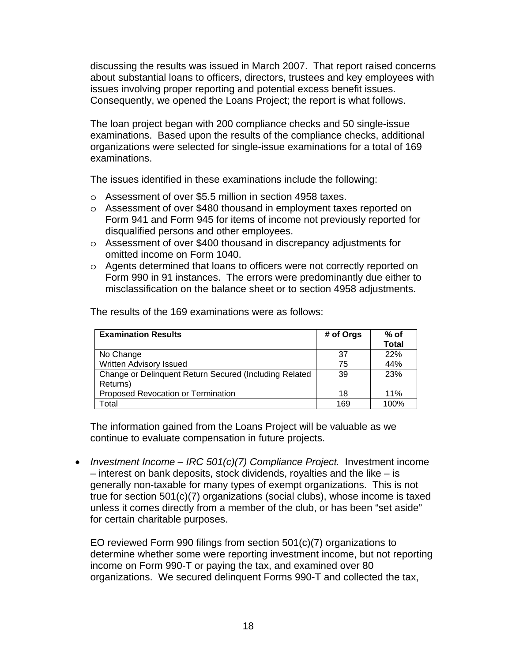discussing the results was issued in March 2007. That report raised concerns about substantial loans to officers, directors, trustees and key employees with issues involving proper reporting and potential excess benefit issues. Consequently, we opened the Loans Project; the report is what follows.

The loan project began with 200 compliance checks and 50 single-issue examinations. Based upon the results of the compliance checks, additional organizations were selected for single-issue examinations for a total of 169 examinations.

The issues identified in these examinations include the following:

- o Assessment of over \$5.5 million in section 4958 taxes.
- o Assessment of over \$480 thousand in employment taxes reported on Form 941 and Form 945 for items of income not previously reported for disqualified persons and other employees.
- o Assessment of over \$400 thousand in discrepancy adjustments for omitted income on Form 1040.
- o Agents determined that loans to officers were not correctly reported on Form 990 in 91 instances. The errors were predominantly due either to misclassification on the balance sheet or to section 4958 adjustments.

| <b>Examination Results</b>                             | # of Orgs | $%$ of       |
|--------------------------------------------------------|-----------|--------------|
|                                                        |           | <b>Total</b> |
| No Change                                              | 37        | 22%          |
| Written Advisory Issued                                | 75        | 44%          |
| Change or Delinquent Return Secured (Including Related | 39        | 23%          |
| Returns)                                               |           |              |
| Proposed Revocation or Termination                     | 18        | 11%          |
| Total                                                  | 169       | 100%         |

The results of the 169 examinations were as follows:

The information gained from the Loans Project will be valuable as we continue to evaluate compensation in future projects.

• *Investment Income – IRC 501(c)(7) Compliance Project.* Investment income – interest on bank deposits, stock dividends, royalties and the like – is generally non-taxable for many types of exempt organizations. This is not true for section 501(c)(7) organizations (social clubs), whose income is taxed unless it comes directly from a member of the club, or has been "set aside" for certain charitable purposes.

EO reviewed Form 990 filings from section 501(c)(7) organizations to determine whether some were reporting investment income, but not reporting income on Form 990-T or paying the tax, and examined over 80 organizations. We secured delinquent Forms 990-T and collected the tax,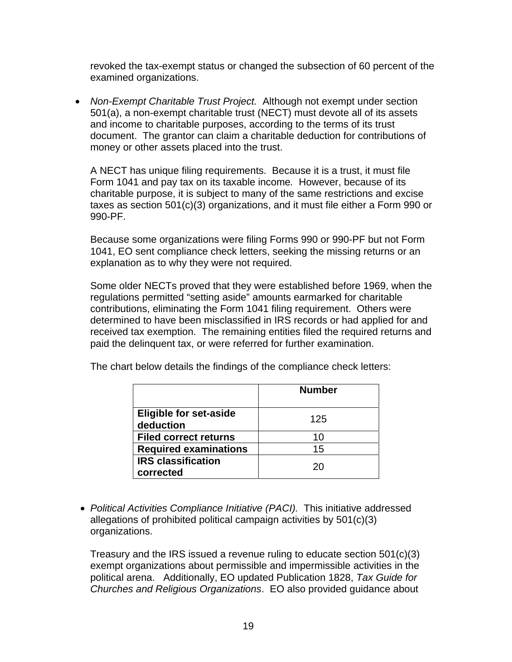revoked the tax-exempt status or changed the subsection of 60 percent of the examined organizations.

• *Non-Exempt Charitable Trust Project.* Although not exempt under section 501(a), a non-exempt charitable trust (NECT) must devote all of its assets and income to charitable purposes, according to the terms of its trust document. The grantor can claim a charitable deduction for contributions of money or other assets placed into the trust.

A NECT has unique filing requirements. Because it is a trust, it must file Form 1041 and pay tax on its taxable income*.* However, because of its charitable purpose, it is subject to many of the same restrictions and excise taxes as section 501(c)(3) organizations, and it must file either a Form 990 or 990-PF.

Because some organizations were filing Forms 990 or 990-PF but not Form 1041, EO sent compliance check letters, seeking the missing returns or an explanation as to why they were not required.

Some older NECTs proved that they were established before 1969, when the regulations permitted "setting aside" amounts earmarked for charitable contributions, eliminating the Form 1041 filing requirement. Others were determined to have been misclassified in IRS records or had applied for and received tax exemption. The remaining entities filed the required returns and paid the delinquent tax, or were referred for further examination.

|                                            | <b>Number</b> |
|--------------------------------------------|---------------|
| <b>Eligible for set-aside</b><br>deduction | 125           |
| <b>Filed correct returns</b>               | 10            |
| <b>Required examinations</b>               | 15            |
| <b>IRS classification</b><br>corrected     | 20            |

The chart below details the findings of the compliance check letters:

• *Political Activities Compliance Initiative (PACI).* This initiative addressed allegations of prohibited political campaign activities by 501(c)(3) organizations.

Treasury and the IRS issued a revenue ruling to educate section  $501(c)(3)$ exempt organizations about permissible and impermissible activities in the political arena. Additionally, EO updated Publication 1828, *Tax Guide for Churches and Religious Organizations*. EO also provided guidance about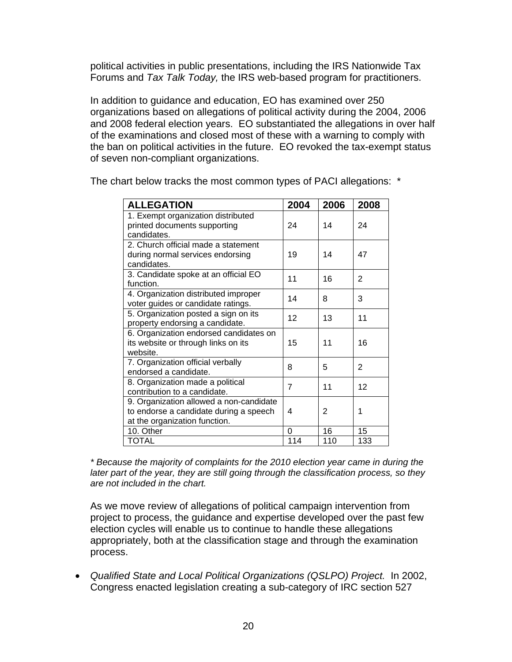political activities in public presentations, including the IRS Nationwide Tax Forums and *Tax Talk Today,* the IRS web-based program for practitioners.

In addition to guidance and education, EO has examined over 250 organizations based on allegations of political activity during the 2004, 2006 and 2008 federal election years. EO substantiated the allegations in over half of the examinations and closed most of these with a warning to comply with the ban on political activities in the future. EO revoked the tax-exempt status of seven non-compliant organizations.

| <b>ALLEGATION</b>                                                                                                  | 2004           | 2006 | 2008           |
|--------------------------------------------------------------------------------------------------------------------|----------------|------|----------------|
| 1. Exempt organization distributed<br>printed documents supporting<br>candidates.                                  | 24             | 14   | 24             |
| 2. Church official made a statement<br>during normal services endorsing<br>candidates.                             | 19             | 14   | 47             |
| 3. Candidate spoke at an official EO<br>function.                                                                  | 11             | 16   | $\overline{2}$ |
| 4. Organization distributed improper<br>voter guides or candidate ratings.                                         | 14             | 8    | 3              |
| 5. Organization posted a sign on its<br>property endorsing a candidate.                                            | 12             | 13   | 11             |
| 6. Organization endorsed candidates on<br>its website or through links on its<br>website.                          | 15             | 11   | 16             |
| 7. Organization official verbally<br>endorsed a candidate.                                                         | 8              | 5    | 2              |
| 8. Organization made a political<br>contribution to a candidate.                                                   | $\overline{7}$ | 11   | 12             |
| 9. Organization allowed a non-candidate<br>to endorse a candidate during a speech<br>at the organization function. | 4              | 2    | 1              |
| 10. Other                                                                                                          | 0              | 16   | 15             |
| <b>TOTAL</b>                                                                                                       | 114            | 110  | 133            |

The chart below tracks the most common types of PACI allegations: \*

*\* Because the majority of complaints for the 2010 election year came in during the later part of the year, they are still going through the classification process, so they are not included in the chart.* 

As we move review of allegations of political campaign intervention from project to process, the guidance and expertise developed over the past few election cycles will enable us to continue to handle these allegations appropriately, both at the classification stage and through the examination process.

• *Qualified State and Local Political Organizations (QSLPO) Project.* In 2002, Congress enacted legislation creating a sub-category of IRC section 527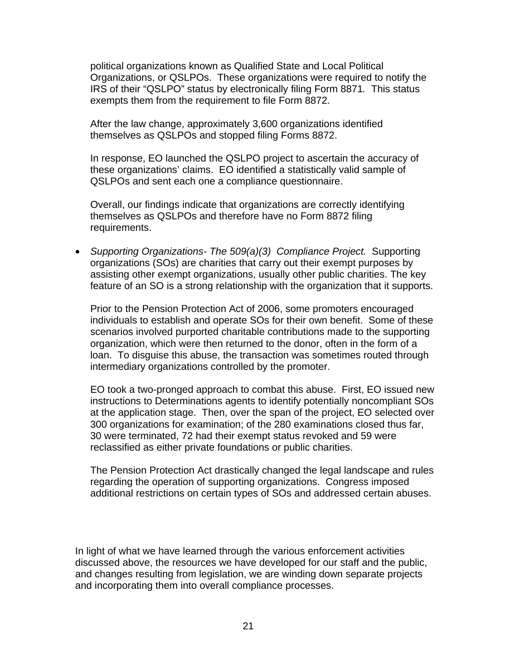political organizations known as Qualified State and Local Political Organizations, or QSLPOs. These organizations were required to notify the IRS of their "QSLPO" status by electronically filing Form 8871*.* This status exempts them from the requirement to file Form 8872.

After the law change, approximately 3,600 organizations identified themselves as QSLPOs and stopped filing Forms 8872.

In response, EO launched the QSLPO project to ascertain the accuracy of these organizations' claims. EO identified a statistically valid sample of QSLPOs and sent each one a compliance questionnaire.

Overall, our findings indicate that organizations are correctly identifying themselves as QSLPOs and therefore have no Form 8872 filing requirements.

• *Supporting Organizations- The 509(a)(3) Compliance Project.* Supporting organizations (SOs) are charities that carry out their exempt purposes by assisting other exempt organizations, usually other public charities. The key feature of an SO is a strong relationship with the organization that it supports.

Prior to the Pension Protection Act of 2006, some promoters encouraged individuals to establish and operate SOs for their own benefit. Some of these scenarios involved purported charitable contributions made to the supporting organization, which were then returned to the donor, often in the form of a loan. To disguise this abuse, the transaction was sometimes routed through intermediary organizations controlled by the promoter.

EO took a two-pronged approach to combat this abuse. First, EO issued new instructions to Determinations agents to identify potentially noncompliant SOs at the application stage. Then, over the span of the project, EO selected over 300 organizations for examination; of the 280 examinations closed thus far, 30 were terminated, 72 had their exempt status revoked and 59 were reclassified as either private foundations or public charities.

The Pension Protection Act drastically changed the legal landscape and rules regarding the operation of supporting organizations. Congress imposed additional restrictions on certain types of SOs and addressed certain abuses.

In light of what we have learned through the various enforcement activities discussed above, the resources we have developed for our staff and the public, and changes resulting from legislation, we are winding down separate projects and incorporating them into overall compliance processes.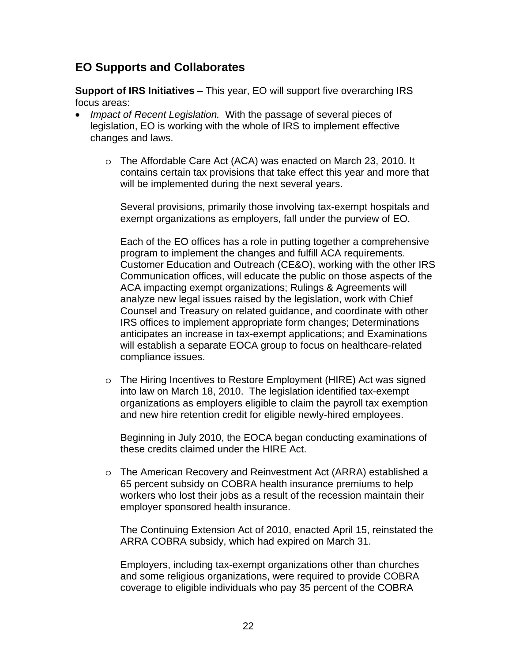### **EO Supports and Collaborates**

**Support of IRS Initiatives** – This year, EO will support five overarching IRS focus areas:

- *Impact of Recent Legislation.* With the passage of several pieces of legislation, EO is working with the whole of IRS to implement effective changes and laws.
	- o The Affordable Care Act (ACA) was enacted on March 23, 2010. It contains certain tax provisions that take effect this year and more that will be implemented during the next several years.

 Several provisions, primarily those involving tax-exempt hospitals and exempt organizations as employers, fall under the purview of EO.

 Each of the EO offices has a role in putting together a comprehensive program to implement the changes and fulfill ACA requirements. Customer Education and Outreach (CE&O), working with the other IRS Communication offices, will educate the public on those aspects of the ACA impacting exempt organizations; Rulings & Agreements will analyze new legal issues raised by the legislation, work with Chief Counsel and Treasury on related guidance, and coordinate with other IRS offices to implement appropriate form changes; Determinations anticipates an increase in tax-exempt applications; and Examinations will establish a separate EOCA group to focus on healthcare-related compliance issues.

o The Hiring Incentives to Restore Employment (HIRE) Act was signed into law on March 18, 2010. The legislation identified tax-exempt organizations as employers eligible to claim the payroll tax exemption and new hire retention credit for eligible newly-hired employees.

 Beginning in July 2010, the EOCA began conducting examinations of these credits claimed under the HIRE Act.

o The American Recovery and Reinvestment Act (ARRA) established a 65 percent subsidy on COBRA health insurance premiums to help workers who lost their jobs as a result of the recession maintain their employer sponsored health insurance.

 The Continuing Extension Act of 2010, enacted April 15, reinstated the ARRA COBRA subsidy, which had expired on March 31.

 Employers, including tax-exempt organizations other than churches and some religious organizations, were required to provide COBRA coverage to eligible individuals who pay 35 percent of the COBRA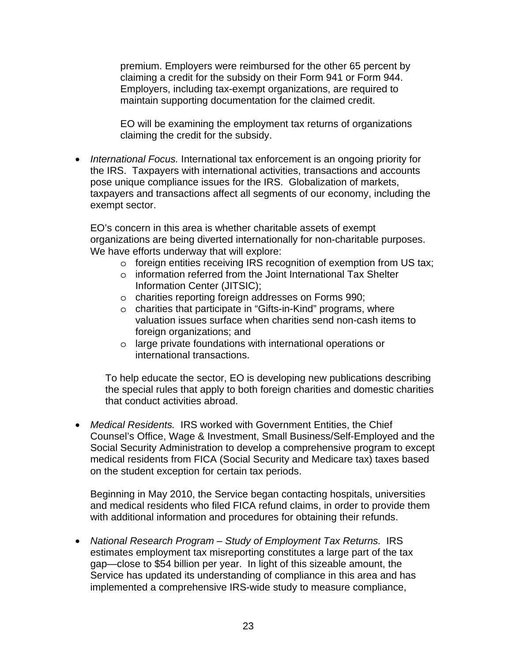premium. Employers were reimbursed for the other 65 percent by claiming a credit for the subsidy on their Form 941 or Form 944. Employers, including tax-exempt organizations, are required to maintain supporting documentation for the claimed credit.

 EO will be examining the employment tax returns of organizations claiming the credit for the subsidy.

• *International Focus.* International tax enforcement is an ongoing priority for the IRS. Taxpayers with international activities, transactions and accounts pose unique compliance issues for the IRS. Globalization of markets, taxpayers and transactions affect all segments of our economy, including the exempt sector.

EO's concern in this area is whether charitable assets of exempt organizations are being diverted internationally for non-charitable purposes. We have efforts underway that will explore:

- o foreign entities receiving IRS recognition of exemption from US tax;
- o information referred from the Joint International Tax Shelter Information Center (JITSIC);
- o charities reporting foreign addresses on Forms 990;
- o charities that participate in "Gifts-in-Kind" programs, where valuation issues surface when charities send non-cash items to foreign organizations; and
- o large private foundations with international operations or international transactions.

To help educate the sector, EO is developing new publications describing the special rules that apply to both foreign charities and domestic charities that conduct activities abroad.

• *Medical Residents.* IRS worked with Government Entities, the Chief Counsel's Office, Wage & Investment, Small Business/Self-Employed and the Social Security Administration to develop a comprehensive program to except medical residents from FICA (Social Security and Medicare tax) taxes based on the student exception for certain tax periods.

Beginning in May 2010, the Service began contacting hospitals, universities and medical residents who filed FICA refund claims, in order to provide them with additional information and procedures for obtaining their refunds.

• *National Research Program – Study of Employment Tax Returns.* IRS estimates employment tax misreporting constitutes a large part of the tax gap—close to \$54 billion per year. In light of this sizeable amount, the Service has updated its understanding of compliance in this area and has implemented a comprehensive IRS-wide study to measure compliance,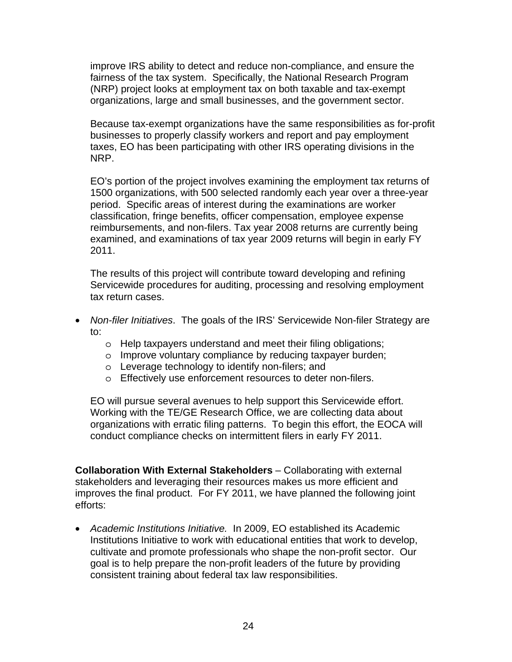improve IRS ability to detect and reduce non-compliance, and ensure the fairness of the tax system. Specifically, the National Research Program (NRP) project looks at employment tax on both taxable and tax-exempt organizations, large and small businesses, and the government sector.

Because tax-exempt organizations have the same responsibilities as for-profit businesses to properly classify workers and report and pay employment taxes, EO has been participating with other IRS operating divisions in the NRP.

EO's portion of the project involves examining the employment tax returns of 1500 organizations, with 500 selected randomly each year over a three-year period. Specific areas of interest during the examinations are worker classification, fringe benefits, officer compensation, employee expense reimbursements, and non-filers. Tax year 2008 returns are currently being examined, and examinations of tax year 2009 returns will begin in early FY 2011.

The results of this project will contribute toward developing and refining Servicewide procedures for auditing, processing and resolving employment tax return cases.

- *Non-filer Initiatives*. The goals of the IRS' Servicewide Non-filer Strategy are to:
	- o Help taxpayers understand and meet their filing obligations;
	- o Improve voluntary compliance by reducing taxpayer burden;
	- o Leverage technology to identify non-filers; and
	- o Effectively use enforcement resources to deter non-filers.

EO will pursue several avenues to help support this Servicewide effort. Working with the TE/GE Research Office, we are collecting data about organizations with erratic filing patterns. To begin this effort, the EOCA will conduct compliance checks on intermittent filers in early FY 2011.

**Collaboration With External Stakeholders** – Collaborating with external stakeholders and leveraging their resources makes us more efficient and improves the final product. For FY 2011, we have planned the following joint efforts:

• *Academic Institutions Initiative.* In 2009, EO established its Academic Institutions Initiative to work with educational entities that work to develop, cultivate and promote professionals who shape the non-profit sector. Our goal is to help prepare the non-profit leaders of the future by providing consistent training about federal tax law responsibilities.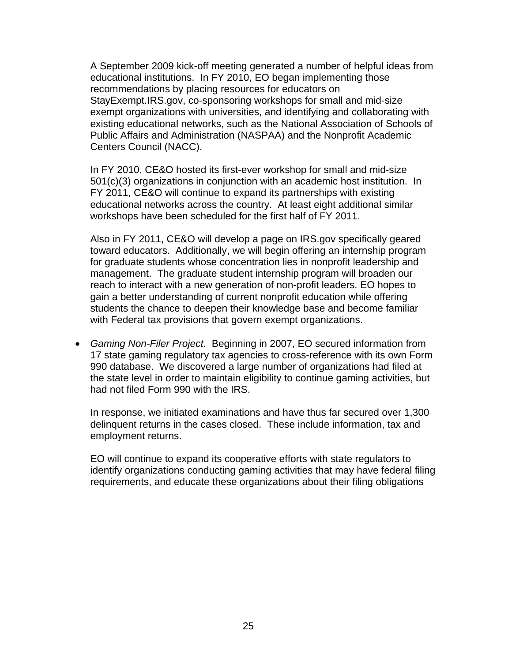A September 2009 kick-off meeting generated a number of helpful ideas from educational institutions. In FY 2010, EO began implementing those recommendations by placing resources for educators on StayExempt.IRS.gov, co-sponsoring workshops for small and mid-size exempt organizations with universities, and identifying and collaborating with existing educational networks, such as the National Association of Schools of Public Affairs and Administration (NASPAA) and the Nonprofit Academic Centers Council (NACC).

In FY 2010, CE&O hosted its first-ever workshop for small and mid-size 501(c)(3) organizations in conjunction with an academic host institution. In FY 2011, CE&O will continue to expand its partnerships with existing educational networks across the country. At least eight additional similar workshops have been scheduled for the first half of FY 2011.

Also in FY 2011, CE&O will develop a page on IRS.gov specifically geared toward educators. Additionally, we will begin offering an internship program for graduate students whose concentration lies in nonprofit leadership and management. The graduate student internship program will broaden our reach to interact with a new generation of non-profit leaders. EO hopes to gain a better understanding of current nonprofit education while offering students the chance to deepen their knowledge base and become familiar with Federal tax provisions that govern exempt organizations.

• *Gaming Non-Filer Project.* Beginning in 2007, EO secured information from 17 state gaming regulatory tax agencies to cross-reference with its own Form 990 database. We discovered a large number of organizations had filed at the state level in order to maintain eligibility to continue gaming activities, but had not filed Form 990 with the IRS.

In response, we initiated examinations and have thus far secured over 1,300 delinquent returns in the cases closed. These include information, tax and employment returns.

EO will continue to expand its cooperative efforts with state regulators to identify organizations conducting gaming activities that may have federal filing requirements, and educate these organizations about their filing obligations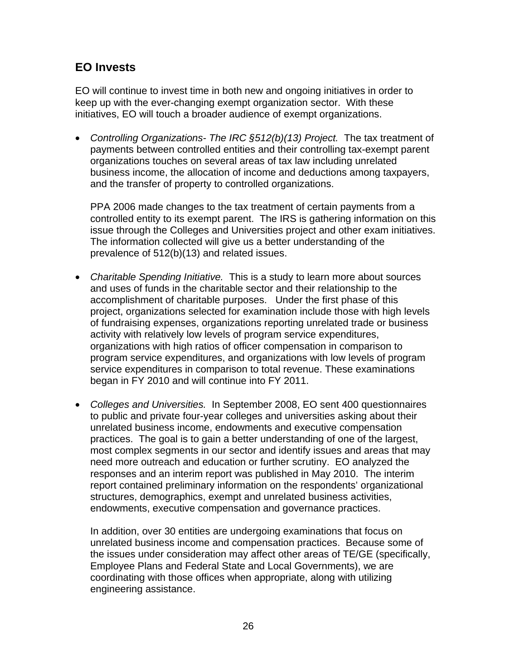### **EO Invests**

EO will continue to invest time in both new and ongoing initiatives in order to keep up with the ever-changing exempt organization sector. With these initiatives, EO will touch a broader audience of exempt organizations.

• Controlling Organizations- The IRC §512(b)(13) Project. The tax treatment of payments between controlled entities and their controlling tax-exempt parent organizations touches on several areas of tax law including unrelated business income, the allocation of income and deductions among taxpayers, and the transfer of property to controlled organizations.

PPA 2006 made changes to the tax treatment of certain payments from a controlled entity to its exempt parent. The IRS is gathering information on this issue through the Colleges and Universities project and other exam initiatives. The information collected will give us a better understanding of the prevalence of 512(b)(13) and related issues.

- *Charitable Spending Initiative.* This is a study to learn more about sources and uses of funds in the charitable sector and their relationship to the accomplishment of charitable purposes. Under the first phase of this project, organizations selected for examination include those with high levels of fundraising expenses, organizations reporting unrelated trade or business activity with relatively low levels of program service expenditures, organizations with high ratios of officer compensation in comparison to program service expenditures, and organizations with low levels of program service expenditures in comparison to total revenue. These examinations began in FY 2010 and will continue into FY 2011.
- *Colleges and Universities.* In September 2008, EO sent 400 questionnaires to public and private four-year colleges and universities asking about their unrelated business income, endowments and executive compensation practices. The goal is to gain a better understanding of one of the largest, most complex segments in our sector and identify issues and areas that may need more outreach and education or further scrutiny. EO analyzed the responses and an interim report was published in May 2010. The interim report contained preliminary information on the respondents' organizational structures, demographics, exempt and unrelated business activities, endowments, executive compensation and governance practices.

In addition, over 30 entities are undergoing examinations that focus on unrelated business income and compensation practices. Because some of the issues under consideration may affect other areas of TE/GE (specifically, Employee Plans and Federal State and Local Governments), we are coordinating with those offices when appropriate, along with utilizing engineering assistance.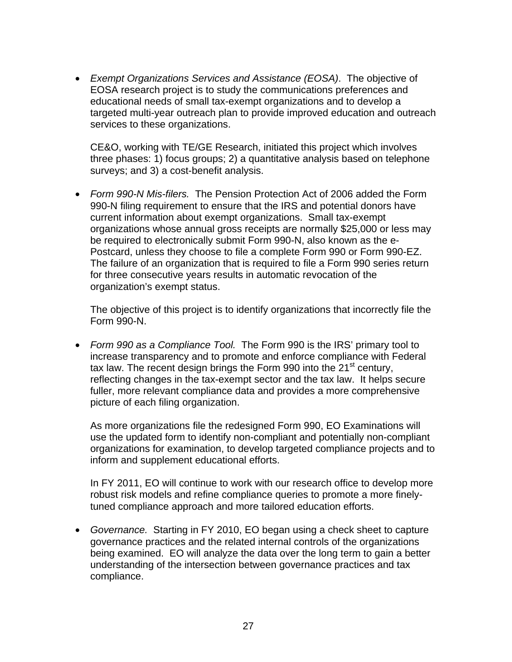• *Exempt Organizations Services and Assistance (EOSA)*. The objective of EOSA research project is to study the communications preferences and educational needs of small tax-exempt organizations and to develop a targeted multi-year outreach plan to provide improved education and outreach services to these organizations.

CE&O, working with TE/GE Research, initiated this project which involves three phases: 1) focus groups; 2) a quantitative analysis based on telephone surveys; and 3) a cost-benefit analysis.

• *Form 990-N Mis-filers.* The Pension Protection Act of 2006 added the Form 990-N filing requirement to ensure that the IRS and potential donors have current information about exempt organizations. Small tax-exempt organizations whose annual gross receipts are normally \$25,000 or less may be required to electronically submit Form 990-N, also known as the e-Postcard, unless they choose to file a complete Form 990 or Form 990-EZ. The failure of an organization that is required to file a Form 990 series return for three consecutive years results in automatic revocation of the organization's exempt status.

The objective of this project is to identify organizations that incorrectly file the Form 990-N.

• *Form 990 as a Compliance Tool.* The Form 990 is the IRS' primary tool to increase transparency and to promote and enforce compliance with Federal tax law. The recent design brings the Form 990 into the  $21<sup>st</sup>$  century, reflecting changes in the tax-exempt sector and the tax law. It helps secure fuller, more relevant compliance data and provides a more comprehensive picture of each filing organization.

As more organizations file the redesigned Form 990, EO Examinations will use the updated form to identify non-compliant and potentially non-compliant organizations for examination, to develop targeted compliance projects and to inform and supplement educational efforts.

In FY 2011, EO will continue to work with our research office to develop more robust risk models and refine compliance queries to promote a more finelytuned compliance approach and more tailored education efforts.

• *Governance.* Starting in FY 2010, EO began using a check sheet to capture governance practices and the related internal controls of the organizations being examined. EO will analyze the data over the long term to gain a better understanding of the intersection between governance practices and tax compliance.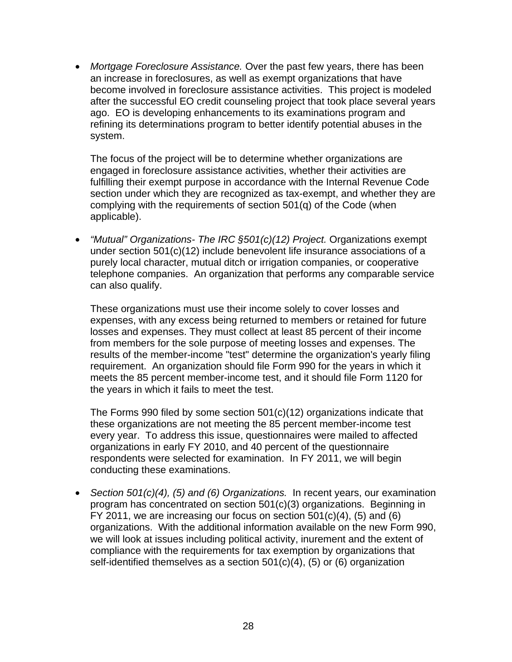• *Mortgage Foreclosure Assistance.* Over the past few years, there has been an increase in foreclosures, as well as exempt organizations that have become involved in foreclosure assistance activities. This project is modeled after the successful EO credit counseling project that took place several years ago. EO is developing enhancements to its examinations program and refining its determinations program to better identify potential abuses in the system.

The focus of the project will be to determine whether organizations are engaged in foreclosure assistance activities, whether their activities are fulfilling their exempt purpose in accordance with the Internal Revenue Code section under which they are recognized as tax-exempt, and whether they are complying with the requirements of section 501(q) of the Code (when applicable).

• *"Mutual" Organizations- The IRC §501(c)(12) Project.* Organizations exempt under section 501(c)(12) include benevolent life insurance associations of a purely local character, mutual ditch or irrigation companies, or cooperative telephone companies. An organization that performs any comparable service can also qualify.

These organizations must use their income solely to cover losses and expenses, with any excess being returned to members or retained for future losses and expenses. They must collect at least 85 percent of their income from members for the sole purpose of meeting losses and expenses. The results of the member-income "test" determine the organization's yearly filing requirement. An organization should file Form 990 for the years in which it meets the 85 percent member-income test, and it should file Form 1120 for the years in which it fails to meet the test.

The Forms 990 filed by some section 501(c)(12) organizations indicate that these organizations are not meeting the 85 percent member-income test every year. To address this issue, questionnaires were mailed to affected organizations in early FY 2010, and 40 percent of the questionnaire respondents were selected for examination. In FY 2011, we will begin conducting these examinations.

• *Section 501(c)(4), (5) and (6) Organizations.* In recent years, our examination program has concentrated on section 501(c)(3) organizations. Beginning in FY 2011, we are increasing our focus on section 501(c)(4), (5) and (6) organizations. With the additional information available on the new Form 990, we will look at issues including political activity, inurement and the extent of compliance with the requirements for tax exemption by organizations that self-identified themselves as a section 501(c)(4), (5) or (6) organization